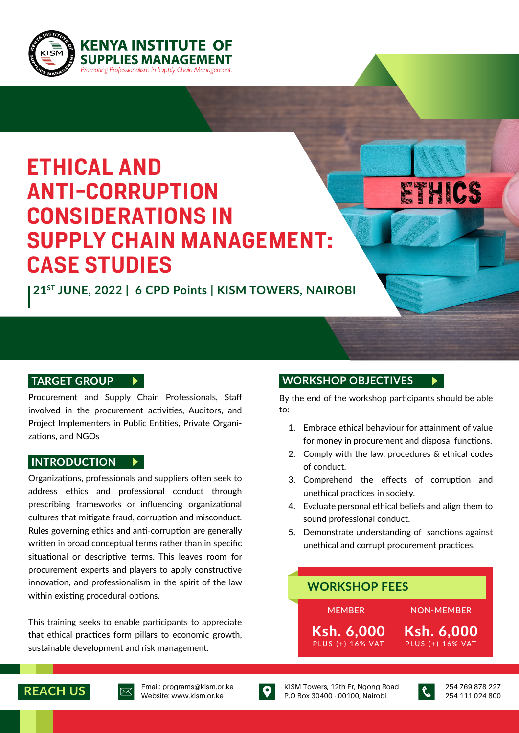

# **ETHICAL AND ANTI-CORRUPTION CONSIDERATIONS IN SUPPLY CHAIN MANAGEMENT: CASE STUDIES**

**21ST JUNE, 2022 | 6 CPD Points | KISM TOWERS, NAIROBI**

#### **TARGET GROUP**

Procurement and Supply Chain Professionals, Staff involved in the procurement activities, Auditors, and Project Implementers in Public Entities, Private Organizations, and NGOs

#### INTRODUCTION  $\blacktriangleright$

Organizations, professionals and suppliers often seek to address ethics and professional conduct through prescribing frameworks or influencing organizational cultures that mitigate fraud, corruption and misconduct. Rules governing ethics and anti-corruption are generally written in broad conceptual terms rather than in specific situational or descriptive terms. This leaves room for procurement experts and players to apply constructive innovation, and professionalism in the spirit of the law within existing procedural options.

This training seeks to enable participants to appreciate that ethical practices form pillars to economic growth, sustainable development and risk management.

#### **WORKSHOP OBJECTIVES**

By the end of the workshop participants should be able to:

ETHICS

- Embrace ethical behaviour for attainment of value 1. for money in procurement and disposal functions.
- 2. Comply with the law, procedures & ethical codes of conduct.
- 3. Comprehend the effects of corruption and unethical practices in society.
- Evaluate personal ethical beliefs and align them to 4. sound professional conduct.
- 5. Demonstrate understanding of sanctions against unethical and corrupt procurement practices.

#### **MEMBER** PLUS (+) 16% VAT Ksh. 6,000 PLUS (+) 16% VAT Ksh. 6,000 **NON-MEMBER WORKSHOP FEES**